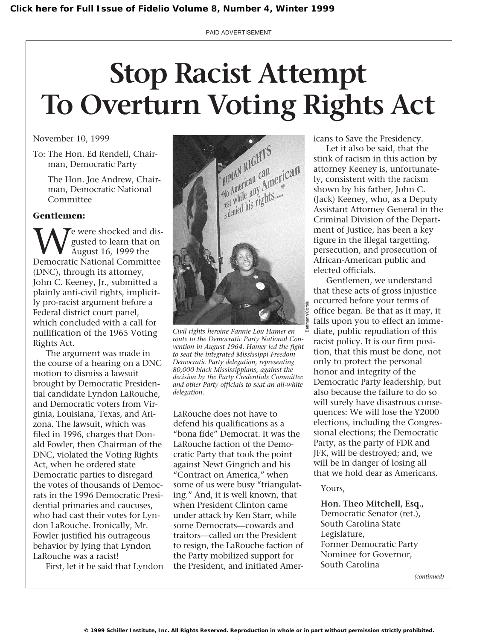PAID ADVERTISEMENT

# **Stop Racist Attempt To Overturn Voting Rights Act**

November 10, 1999

To: The Hon. Ed Rendell, Chairman, Democratic Party

> The Hon. Joe Andrew, Chairman, Democratic National Committee

## **Gentlemen:**

**W**e were shocked and dis-<br>gusted to learn that on<br>Democratic National Committee gusted to learn that on August 16, 1999 the Democratic National Committee (DNC), through its attorney, John C. Keeney, Jr., submitted a plainly anti-civil rights, implicitly pro-racist argument before a Federal district court panel, which concluded with a call for nullification of the 1965 Voting Rights Act.

The argument was made in the course of a hearing on a DNC motion to dismiss a lawsuit brought by Democratic Presidential candidate Lyndon LaRouche, and Democratic voters from Virginia, Louisiana, Texas, and Arizona. The lawsuit, which was filed in 1996, charges that Donald Fowler, then Chairman of the DNC, violated the Voting Rights Act, when he ordered state Democratic parties to disregard the votes of thousands of Democrats in the 1996 Democratic Presidential primaries and caucuses, who had cast their votes for Lyndon LaRouche. Ironically, Mr. Fowler justified his outrageous behavior by lying that Lyndon LaRouche was a racist!

First, let it be said that Lyndon



*Civil rights heroine Fannie Lou Hamer en route to the Democratic Party National Convention in August 1964. Hamer led the fight to seat the integrated Mississippi Freedom Democratic Party delegation, representing 80,000 black Mississippians, against the decision by the Party Credentials Committee and other Party officials to seat an all-white delegation.*

LaRouche does not have to defend his qualifications as a "bona fide" Democrat. It was the LaRouche faction of the Democratic Party that took the point against Newt Gingrich and his "Contract on America," when some of us were busy "triangulating." And, it is well known, that when President Clinton came under attack by Ken Starr, while some Democrats—cowards and traitors—called on the President to resign, the LaRouche faction of the Party mobilized support for the President, and initiated Americans to Save the Presidency.

Let it also be said, that the stink of racism in this action by attorney Keeney is, unfortunately, consistent with the racism shown by his father, John C. (Jack) Keeney, who, as a Deputy Assistant Attorney General in the Criminal Division of the Department of Justice, has been a key figure in the illegal targetting, persecution, and prosecution of African-American public and elected officials.

Gentlemen, we understand that these acts of gross injustice occurred before your terms of office began. Be that as it may, it falls upon you to effect an immediate, public repudiation of this racist policy. It is our firm position, that this must be done, not only to protect the personal honor and integrity of the Democratic Party leadership, but also because the failure to do so will surely have disastrous consequences: We will lose the Y2000 elections, including the Congressional elections; the Democratic Party, as the party of FDR and JFK, will be destroyed; and, we will be in danger of losing all that we hold dear as Americans.

### Yours,

**Hon. Theo Mitchell, Esq.,** Democratic Senator (ret.), South Carolina State Legislature, Former Democratic Party Nominee for Governor, South Carolina

*(continued)*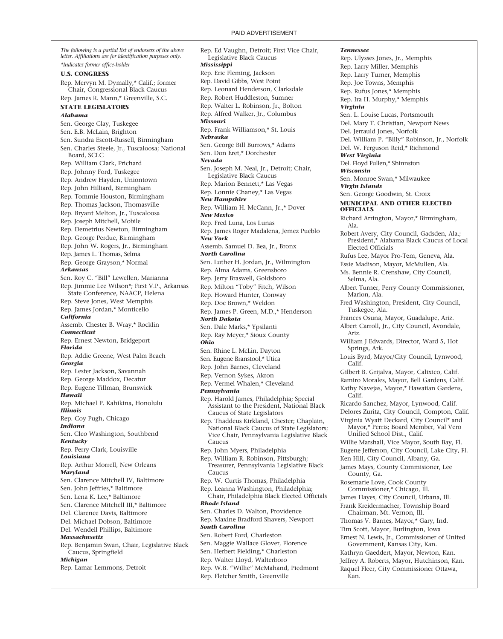*The following is a partial list of endorsers of the above letter. Affiliations are for identification purposes only. \*Indicates former office-holder* **U.S. CONGRESS** Rep. Mervyn M. Dymally,\* Calif.; former Chair, Congressional Black Caucus Rep. James R. Mann,\* Greenville, S.C. **STATE LEGISLATORS** *Alabama* Sen. George Clay, Tuskegee Sen. E.B. McLain, Brighton Sen. Sundra Escott-Russell, Birmingham Sen. Charles Steele, Jr., Tuscaloosa; National Board, SCLC Rep. William Clark, Prichard Rep. Johnny Ford, Tuskegee Rep. Andrew Hayden, Uniontown Rep. John Hilliard, Birmingham Rep. Tommie Houston, Birmingham Rep. Thomas Jackson, Thomasville Rep. Bryant Melton, Jr., Tuscaloosa Rep. Joseph Mitchell, Mobile Rep. Demetrius Newton, Birmingham Rep. George Perdue, Birmingham Rep. John W. Rogers, Jr., Birmingham Rep. James L. Thomas, Selma Rep. George Grayson,\* Normal *Arkansas* Sen. Roy C. "Bill" Lewellen, Marianna Rep. Jimmie Lee Wilson\*; First V.P., Arkansas State Conference, NAACP, Helena Rep. Steve Jones, West Memphis Rep. James Jordan,\* Monticello *California* Assemb. Chester B. Wray,\* Rocklin *Connecticut* Rep. Ernest Newton, Bridgeport *Florida* Rep. Addie Greene, West Palm Beach *Georgia* Rep. Lester Jackson, Savannah Rep. George Maddox, Decatur Rep. Eugene Tillman, Brunswick *Hawaii* Rep. Michael P. Kahikina, Honolulu *Illinois* Rep. Coy Pugh, Chicago *Indiana* Sen. Cleo Washington, Southbend *Kentucky* Rep. Perry Clark, Louisville *Louisiana* Rep. Arthur Morrell, New Orleans *Maryland* Sen. Clarence Mitchell IV, Baltimore Sen. John Jeffries,\* Baltimore Sen. Lena K. Lee,\* Baltimore Sen. Clarence Mitchell III,\* Baltimore Del. Clarence Davis, Baltimore Del. Michael Dobson, Baltimore Del. Wendell Phillips, Baltimore *Massachusetts* Rep. Benjamin Swan, Chair, Legislative Black Caucus, Springfield *Michigan* Rep. Lamar Lemmons, Detroit

Rep. Ed Vaughn, Detroit; First Vice Chair, Legislative Black Caucus *Mississippi* Rep. Eric Fleming, Jackson Rep. David Gibbs, West Point Rep. Leonard Henderson, Clarksdale Rep. Robert Huddleston, Sumner Rep. Walter L. Robinson, Jr., Bolton Rep. Alfred Walker, Jr., Columbus *Missouri* Rep. Frank Williamson,\* St. Louis *Nebraska* Sen. George Bill Burrows,\* Adams Sen. Don Eret,\* Dorchester *Nevada* Sen. Joseph M. Neal, Jr., Detroit; Chair, Legislative Black Caucus Rep. Marion Bennett,\* Las Vegas Rep. Lonnie Chaney,\* Las Vegas *New Hampshire* Rep. William H. McCann, Jr.,\* Dover *New Mexico* Rep. Fred Luna, Los Lunas Rep. James Roger Madalena, Jemez Pueblo *New York* Assemb. Samuel D. Bea, Jr., Bronx *North Carolina* Sen. Luther H. Jordan, Jr., Wilmington Rep. Alma Adams, Greensboro Rep. Jerry Braswell, Goldsboro Rep. Milton "Toby" Fitch, Wilson Rep. Howard Hunter, Conway Rep. Doc Brown,\* Weldon Rep. James P. Green, M.D.,\* Henderson *North Dakota* Sen. Dale Marks,\* Ypsilanti Rep. Ray Meyer,\* Sioux County *Ohio* Sen. Rhine L. McLin, Dayton Sen. Eugene Branstool,\* Utica Rep. John Barnes, Cleveland Rep. Vernon Sykes, Akron Rep. Vermel Whalen,\* Cleveland *Pennsylvania* Rep. Harold James, Philadelphia; Special Assistant to the President, National Black Caucus of State Legislators Rep. Thaddeus Kirkland, Chester; Chaplain, National Black Caucus of State Legislators; Vice Chair, Pennsylvania Legislative Black Caucus Rep. John Myers, Philadelphia Rep. William R. Robinson, Pittsburgh; Treasurer, Pennsylvania Legislative Black Caucus Rep. W. Curtis Thomas, Philadelphia Rep. Leanna Washington, Philadelphia; Chair, Philadelphia Black Elected Officials *Rhode Island* Sen. Charles D. Walton, Providence Rep. Maxine Bradford Shavers, Newport *South Carolina* Sen. Robert Ford, Charleston Sen. Maggie Wallace Glover, Florence Sen. Herbert Fielding,\* Charleston Rep. Walter Lloyd, Walterboro Rep. W.B. "Willie" McMahand, Piedmont

Rep. Fletcher Smith, Greenville

*Tennessee* Rep. Ulysses Jones, Jr., Memphis Rep. Larry Miller, Memphis Rep. Larry Turner, Memphis Rep. Joe Towns, Memphis Rep. Rufus Jones,\* Memphis Rep. Ira H. Murphy,\* Memphis *Virginia* Sen. L. Louise Lucas, Portsmouth Del. Mary T. Christian, Newport News Del. Jerrauld Jones, Norfolk Del. William P. "Billy" Robinson, Jr., Norfolk Del. W. Ferguson Reid,\* Richmond *West Virginia* Del. Floyd Fullen,\* Shinnston *Wisconsin* Sen. Monroe Swan,\* Milwaukee *Virgin Islands* Sen. George Goodwin, St. Croix **MUNICIPAL AND OTHER ELECTED OFFICIALS** Richard Arrington, Mayor,\* Birmingham, Ala. Robert Avery, City Council, Gadsden, Ala.; President,\* Alabama Black Caucus of Local Elected Officials Rufus Lee, Mayor Pro-Tem, Geneva, Ala. Essie Madison, Mayor, McMullen, Ala. Ms. Bennie R. Crenshaw, City Council, Selma, Ala. Albert Turner, Perry County Commissioner, Marion, Ala. Fred Washington, President, City Council, Tuskegee, Ala. Frances Osuna, Mayor, Guadalupe, Ariz. Albert Carroll, Jr., City Council, Avondale, Ariz. William J Edwards, Director, Ward 5, Hot Springs, Ark. Louis Byrd, Mayor/City Council, Lynwood, Calif. Gilbert B. Grijalva, Mayor, Calixico, Calif. Ramiro Morales, Mayor, Bell Gardens, Calif. Kathy Navejas, Mayor,\* Hawaiian Gardens, Calif. Ricardo Sanchez, Mayor, Lynwood, Calif. Delores Zurita, City Council, Compton, Calif. Virginia Wyatt Deckard, City Council\* and Mayor,\* Perris; Board Member, Val Vero Unified School Dist., Calif. Willie Marshall, Vice Mayor, South Bay, Fl. Eugene Jefferson, City Council, Lake City, Fl. Ken Hill, City Council, Albany, Ga. James Mays, County Commisioner, Lee County, Ga. Rosemarie Love, Cook County Commissioner,\* Chicago, Ill. James Hayes, City Council, Urbana, Ill. Frank Kreidermacher, Township Board Chairman, Mt. Vernon, Ill. Thomas V. Barnes, Mayor,\* Gary, Ind. Tim Scott, Mayor, Burlington, Iowa Ernest N. Lewis, Jr., Commissioner of United Government, Kansas City, Kan. Kathryn Gaeddert, Mayor, Newton, Kan. Jeffrey A. Roberts, Mayor, Hutchinson, Kan. Raquel Fleer, City Commissioner Ottawa, Kan.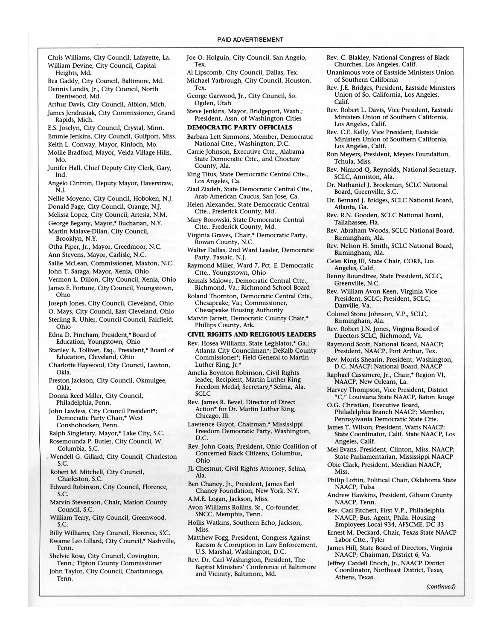- Chris Williams, City Council, Lafayette, La. William Devine, City Council, Capital Heights, Md.
- Bea Gaddy, City Council, Baltimore, Md. Dennis Landis, Jr., City Council, North Brentwood, Md.
- Arthur Davis, City Council, Albion, Mich. James Jendrasiak, City Commissioner, Grand Rapids, Mich.
- E.S. Joselyn, City Council, Crystal, Minn. Jimmie Jenkins, City Council, Gulfport, Miss.
- Keith L. Conway, Mayor, Kinloch, Mo. Mollie Bradford, Mayor, Velda Village Hills,
- Mo. Junifer Hall, Chief Deputy City Clerk, Gary, Ind.
- Angelo Cintron, Deputy Mayor, Haverstraw, N.J.
- Nellie Moyeno, City Council, Hoboken, N.J. Donald Page, City Council, Orange, N.]. .
- Melissa Lopez, City Council, Artesia, N.M. George Begany, Mayor,\* Buchanan, N.Y.
- Martin Malave-Dilan, City Council,
- Brooklyn, N.Y.
- Otha Piper, Jr., Mayor, Creedmoor, N.C.
- Ann Stevens, Mayor, Carlisle, N.C.
- Sallie McLean, Commissioner, Maxton, N.C.
- John T. Saraga, Mayor, Xenia, Ohio
- Vermon L. Dillon, City Council, Xenia, Ohio James E. Fortune, City Council, Youngstown, Ohio
- Joseph Jones, City Council, Cleveland, Ohio O. Mays, City Council, East Cleveland, Ohio Sterling R. Uhler, Council Council, Fairfield, Ohio
- Edna D. Pincham, President,\* Board of Education, Youngstown, Ohio
- Stanley E. Tolliver, Esq., President,\* Board of Education, Cleveland, Ohio
- Charlotte Haywood, City Council, Lawton, Okla.
- Preston Jackson, City Council, Okmulgee, Okla.
- Donna Reed Miller, City Council, Philadelphia, Penn.
- John Lawless, City Council President\*; Democratic Party Chair,\* West Conshohocken, Penn.
- Ralph Singletary, Mayor,\* Lake City, S.C. Rosemounda P. Butler, City Council, W.
- Columbia, S.c.
- Wendell G. Gillard, City Council, Charleston S.c.
- Robert M. Mitchell, City Council, Charleston, S.c.
- Edward Robinson, City Council, Florence, S.c.
- Marvin Stevenson, Chair, Marion County Council, S.c.
- William Terry, City Council, Greenwood; S.c.
- Billy Williams, City Council, Florence, S:c. Kwame Leo Lillard, City Council,\* Nashville,
- Tenn. Shelvie Rose, City Council, Covington,
- Tenn.; Tipton County Commissioner John Taylor, City Council, Chattanooga,
- Tenn.
- Joe O. Holguin, City Council, San Angelo, Tex.
- AI Lipscomb, City Council, Dallas, Tex. Michael Yarbrough, City Council, Houston, Tex.
- George Garwood, Jr., City Council, So. Ogden, Utah
- Steve Jenkins, Mayor, Bridgeport, Wash.; President, Assn. of Washington Cities
- DEMOCRATIC PARTY OFFICIALS
- Barbara Lett Simmons, Member, Democratic National Ctte., Washington, D.C.
- Carrie Johnson, Executive Ctte., Alabama State Democratic Ctte., and Choctaw County, Ala.
- King Titus, State Democratic Central Ctte., Los Angeles, Ca.
- Ziad Ziadeh, State Democratic Central Ctte., Arab American Caucus, San Jose, Ca.
- Helen Alexander, State Democratic Central Ctte., Frederick County, Md.
- Mary Borowski, State Democratic Central Ctte., Frederick County, Md.
- Virginia Graves, Chair,\* Democratic Party, Rowan County, N.C.
- Walter Dallas, 2nd Ward Leader, Democratic Party, Passaic, N.J.
- Raymond Miller, Ward 7, Pct. E. Democratic Ctte., Youngstown, Ohio
- Reinals Malowe, Democratic Central Ctte., Richmond, Va.; Richmond School Board
- Roland Thornton, Democratic Central Ctte., Chesapeake, Va.; Commissioner, Chesapeake Housing Authority
- Marvin Jarrett, Democratic County Chair,\* Phillips County, Ark.

#### CIVIL RIGHTS AND RELIGIOUS LEADERS

- Rev. Hosea Williams, State Legislator,\* Ga.; Atlanta City Councilman"; DeKalb County Commissioner\*; Field General to Martin Luther King, Jr.\*
- Amelia Boynton Robinson, Civil Rights leader; Recipient, Martin Luther King Freedom Medal; Secretary,\* Selma, Ala. SCLC
- Rev. James R. Bevel, Director of Direct Action" for Dr. Martin Luther King, Chicago, Ill.
- Lawrence Guyot, Chairman,\* Mississippi Freedom Democratic Party, Washington, D.C.
- Rev. John Coats, President, Ohio Coalition of Concerned Black Citizens, Columbus, Ohio
- JL Chestnut, Civil Rights Attorney, Selma, Ala.
- Ben Chaney, Jr., President, James Earl Chaney Foundation, New York, N.Y.
- A.M.E. Logan, Jackson, Miss.
- Avon Williams Rollins, Sr., Co-founder, SNCC, Memphis, Tenn.
- Hollis Watkins, Southern Echo, Jackson, Miss.
- Matthew Fogg, President, Congress Against Racism & Corruption in Law Enforcement, U.S. Marshal, Washington, D.C.
- Rev. Dr. Carl Washington, President, The Baptist Ministers' Conference of Baltimore and Vicinity, Baltimore, Md.
- Rev. C. Blakley, National Congress of Black Churches, Los Angeles, Calif.
- Unanimous vote of Eastside Ministers Union of Southern California
- Rev. ].E. Bridges, President, Eastside Ministers Union of So. California, Los Angeles, Calif.
- Rev. Robert L. Davis, Vice President, Eastside Ministers Union of Southern California, Los Angeles, Calif.
- Rev. C.E. Kelly, Vice President, Eastside Ministers Union of Southern California, Los Angeles, Calif.
- Ron Meyers, President, Meyers Foundation, Tchula, Miss.
- Rev. Nimrod Q. Reynolds, National Secretary, SCLC, Anniston, Ala.
- Dr. Nathaniel J. Brockman, SCLC National Board, Greenville, S.c.
- Dr. Bernard ]. Bridges, SCLC National Board, Atlanta, Ga.
- Rev. R.N. Gooden, SCLC National Board, Tallahassee, Fla.
- Rev. Abraham Woods, SCLC National Board, Birmingham, Ala.
- Rev. Nelson H. Smith, SCLC National Board, Birmingham, Ala.
- Celes King III, State Chair, CORE, Los Angeles, Calif.
- Benny Roundtree, State President, SCLC, Greenville, N.C.
- Rev. William Avon Keen, Virginia Vice President, SCLC; President, SCLC, Danville, Va.
- Colonel Stone Johnson, V.P., SCLC, Birmingham, Ala.
- Rev. Robert ].N. Jones, Virginia Board of Directors SCLC, Richmond, Va.
- Raymond Scott, National Board, NAACP; President, NAACP, Port Arthur, Tex.
- Rev. Morris Shearin, President, Washington, D.C. NAACP; National Board, NAACP
- Raphael Cassimere, Jr., Chair,\* Region VI, NAACP, New Orleans, La.
- Harvey Thompson, Vice President, District "C," Louisiana State NAACP, Baton Rouge
- O.G. Christian, Executive Board, Philadelphia Branch NAACP; Member, Pennsylvania Democratic State Ctte.
- James T. Wilson, President, Watts NAACP; State Coordinator, Calif. State NAACP, Los Angeles, Calif.
- Mel Evans, President, Clinton, Miss. NAACP; State Parliamentarian, Mississippi NAACP
- Obie Clark, President, Meridian NAACP, Miss.
- Philip Loftin, Political Chair, Oklahoma State NAACP, Tulsa
- Andrew Hawkins, President, Gibson County NAACP, Tenn.
- Rev. Carl Fitchett, First V.P., Philadelphia NAACP; Bus. Agent, Phila. Housing Employees Local 934, AFSCME, DC 33
- Ernest M. Deckard, Chair, Texas State NAACP Labor Ctte., Tyler
- James Hill, State Board of Directors, Virginia NAACP; Chairman, District 6, Va.
- Jeffrey Cardell Enoch, Jr., NAACP District Coordinator, Northeast District, Texas, Athens, Texas.

(continued)